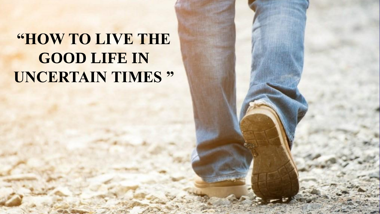## **"HOW TO LIVE THE GOOD LIFE IN UNCERTAIN TIMES "**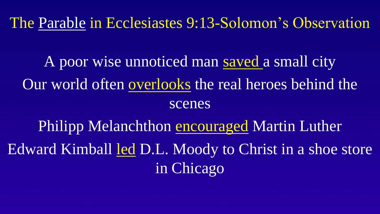The Parable in Ecclesiastes 9:13-Solomon's Observation

A poor wise unnoticed man saved a small city Our world often overlooks the real heroes behind the scenes

Philipp Melanchthon encouraged Martin Luther Edward Kimball led D.L. Moody to Christ in a shoe store in Chicago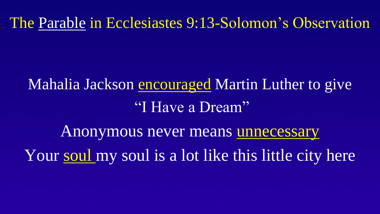The Parable in Ecclesiastes 9:13-Solomon's Observation

# Mahalia Jackson encouraged Martin Luther to give "I Have a Dream"

Anonymous never means unnecessary Your soul my soul is a lot like this little city here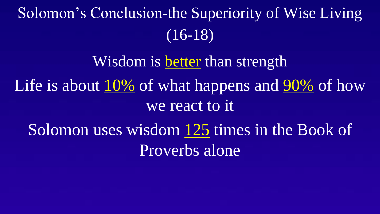# Solomon's Conclusion-the Superiority of Wise Living (16-18)

Wisdom is better than strength Life is about 10% of what happens and 90% of how we react to it Solomon uses wisdom 125 times in the Book of

Proverbs alone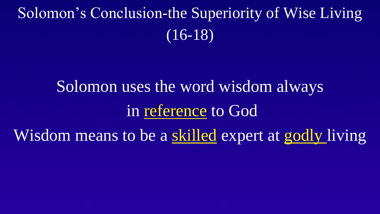# Solomon's Conclusion-the Superiority of Wise Living (16-18)

# Solomon uses the word wisdom always in reference to God Wisdom means to be a skilled expert at godly living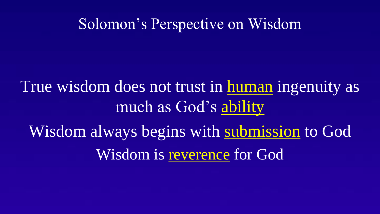#### Solomon's Perspective on Wisdom

### True wisdom does not trust in human ingenuity as much as God's ability

Wisdom always begins with submission to God Wisdom is reverence for God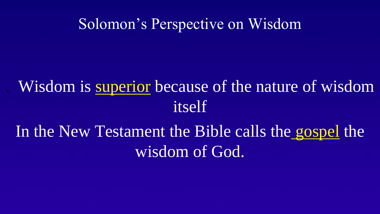#### Solomon's Perspective on Wisdom

### . Wisdom is superior because of the nature of wisdom itself

### In the New Testament the Bible calls the gospel the wisdom of God.